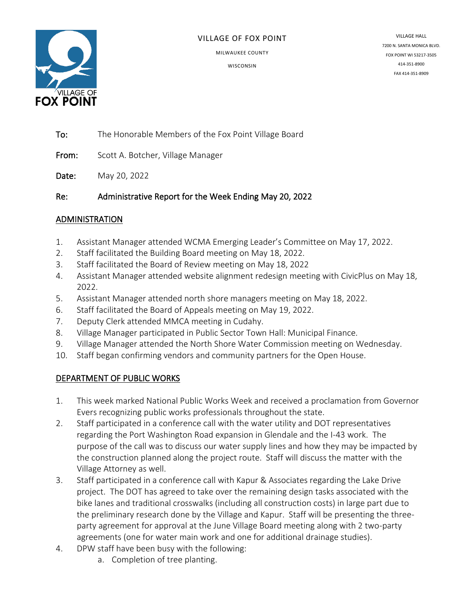

#### VILLAGE OF FOX POINT

MILWAUKEE COUNTY

**WISCONSIN** 

VILLAGE HALL 7200 N. SANTA MONICA BLVD. FOX POINT WI 53217-3505 414-351-8900 FAX 414-351-8909

To: The Honorable Members of the Fox Point Village Board

From: Scott A. Botcher, Village Manager

Date: May 20, 2022

Re: Administrative Report for the Week Ending May 20, 2022

### ADMINISTRATION

- 1. Assistant Manager attended WCMA Emerging Leader's Committee on May 17, 2022.
- 2. Staff facilitated the Building Board meeting on May 18, 2022.
- 3. Staff facilitated the Board of Review meeting on May 18, 2022
- 4. Assistant Manager attended website alignment redesign meeting with CivicPlus on May 18, 2022.
- 5. Assistant Manager attended north shore managers meeting on May 18, 2022.
- 6. Staff facilitated the Board of Appeals meeting on May 19, 2022.
- 7. Deputy Clerk attended MMCA meeting in Cudahy.
- 8. Village Manager participated in Public Sector Town Hall: Municipal Finance.
- 9. Village Manager attended the North Shore Water Commission meeting on Wednesday.
- 10. Staff began confirming vendors and community partners for the Open House.

# DEPARTMENT OF PUBLIC WORKS

- 1. This week marked National Public Works Week and received a proclamation from Governor Evers recognizing public works professionals throughout the state.
- 2. Staff participated in a conference call with the water utility and DOT representatives regarding the Port Washington Road expansion in Glendale and the I-43 work. The purpose of the call was to discuss our water supply lines and how they may be impacted by the construction planned along the project route. Staff will discuss the matter with the Village Attorney as well.
- 3. Staff participated in a conference call with Kapur & Associates regarding the Lake Drive project. The DOT has agreed to take over the remaining design tasks associated with the bike lanes and traditional crosswalks (including all construction costs) in large part due to the preliminary research done by the Village and Kapur. Staff will be presenting the threeparty agreement for approval at the June Village Board meeting along with 2 two-party agreements (one for water main work and one for additional drainage studies).
- 4. DPW staff have been busy with the following:
	- a. Completion of tree planting.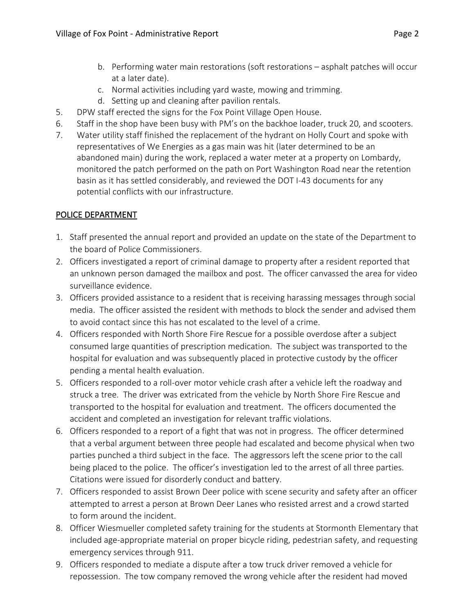- b. Performing water main restorations (soft restorations asphalt patches will occur at a later date).
- c. Normal activities including yard waste, mowing and trimming.
- d. Setting up and cleaning after pavilion rentals.
- 5. DPW staff erected the signs for the Fox Point Village Open House.
- 6. Staff in the shop have been busy with PM's on the backhoe loader, truck 20, and scooters.
- 7. Water utility staff finished the replacement of the hydrant on Holly Court and spoke with representatives of We Energies as a gas main was hit (later determined to be an abandoned main) during the work, replaced a water meter at a property on Lombardy, monitored the patch performed on the path on Port Washington Road near the retention basin as it has settled considerably, and reviewed the DOT I-43 documents for any potential conflicts with our infrastructure.

# POLICE DEPARTMENT

- 1. Staff presented the annual report and provided an update on the state of the Department to the board of Police Commissioners.
- 2. Officers investigated a report of criminal damage to property after a resident reported that an unknown person damaged the mailbox and post. The officer canvassed the area for video surveillance evidence.
- 3. Officers provided assistance to a resident that is receiving harassing messages through social media. The officer assisted the resident with methods to block the sender and advised them to avoid contact since this has not escalated to the level of a crime.
- 4. Officers responded with North Shore Fire Rescue for a possible overdose after a subject consumed large quantities of prescription medication. The subject was transported to the hospital for evaluation and was subsequently placed in protective custody by the officer pending a mental health evaluation.
- 5. Officers responded to a roll-over motor vehicle crash after a vehicle left the roadway and struck a tree. The driver was extricated from the vehicle by North Shore Fire Rescue and transported to the hospital for evaluation and treatment. The officers documented the accident and completed an investigation for relevant traffic violations.
- 6. Officers responded to a report of a fight that was not in progress. The officer determined that a verbal argument between three people had escalated and become physical when two parties punched a third subject in the face. The aggressors left the scene prior to the call being placed to the police. The officer's investigation led to the arrest of all three parties. Citations were issued for disorderly conduct and battery.
- 7. Officers responded to assist Brown Deer police with scene security and safety after an officer attempted to arrest a person at Brown Deer Lanes who resisted arrest and a crowd started to form around the incident.
- 8. Officer Wiesmueller completed safety training for the students at Stormonth Elementary that included age-appropriate material on proper bicycle riding, pedestrian safety, and requesting emergency services through 911.
- 9. Officers responded to mediate a dispute after a tow truck driver removed a vehicle for repossession. The tow company removed the wrong vehicle after the resident had moved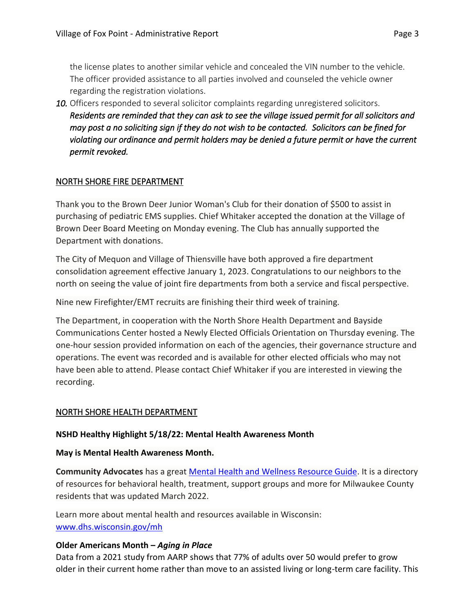the license plates to another similar vehicle and concealed the VIN number to the vehicle. The officer provided assistance to all parties involved and counseled the vehicle owner regarding the registration violations.

*10.* Officers responded to several solicitor complaints regarding unregistered solicitors. *Residents are reminded that they can ask to see the village issued permit for all solicitors and may post a no soliciting sign if they do not wish to be contacted. Solicitors can be fined for violating our ordinance and permit holders may be denied a future permit or have the current permit revoked.* 

### NORTH SHORE FIRE DEPARTMENT

Thank you to the [Brown Deer Junior Woman's Club](https://r20.rs6.net/tn.jsp?f=0015IDaVjTEB4VzHdoy3y_2fg-SQcsO6QNQbt03vfCIdVNZYZahDfrVzo9pETtJZ-jvqyhyQLLZYbs9t_lN0nEXFqeZOFjsbeNiPLQ-J2FsRxnjBim6Cp7kP-N9okVtqc8XlDvGupjOCrTkgfrlRWbynfVdv_f5jYojLP1qaXpfjb8=&c=nYp3_QtLCT14PQZ9AnRgbjP4OlpNCRPTF9QETz71-99HSgKQPJch4Q==&ch=Wvugsiw_WDIL5NF7pfAFZFHwUZ5t8qDlzvF-q9L2IZ3gCmSiaWujCw==) for their donation of \$500 to assist in purchasing of pediatric EMS supplies. Chief Whitaker accepted the donation at the Village of Brown Deer Board Meeting on Monday evening. The Club has annually supported the Department with donations.

The City of Mequon and Village of Thiensville have both approved a fire department consolidation agreement effective January 1, 2023. Congratulations to our neighbors to the north on seeing the value of joint fire departments from both a service and fiscal perspective.

Nine new Firefighter/EMT recruits are finishing their third week of training.

The Department, in cooperation with the North Shore Health Department and Bayside Communications Center hosted a Newly Elected Officials Orientation on Thursday evening. The one-hour session provided information on each of the agencies, their governance structure and operations. The event was recorded and is available for other elected officials who may not have been able to attend. Please contact Chief Whitaker if you are interested in viewing the recording.

### NORTH SHORE HEALTH DEPARTMENT

### **NSHD Healthy Highlight 5/18/22: Mental Health Awareness Month**

#### **May is Mental Health Awareness Month.**

**Community Advocates** has a great [Mental Health and Wellness Resource Guide.](https://www.nshealthdept.org/Portals/NsHealthDept.org/MHAT%20resource%20guide%20FINAL_3_22_22.pdf) It is a directory of resources for behavioral health, treatment, support groups and more for Milwaukee County residents that was updated March 2022.

Learn more about mental health and resources available in Wisconsin: [www.dhs.wisconsin.gov/mh](https://www.dhs.wisconsin.gov/mh/dcindex.htm)

### **Older Americans Month –** *Aging in Place*

Data from a 2021 study from AARP shows that 77% of adults over 50 would prefer to grow older in their current home rather than move to an assisted living or long-term care facility. This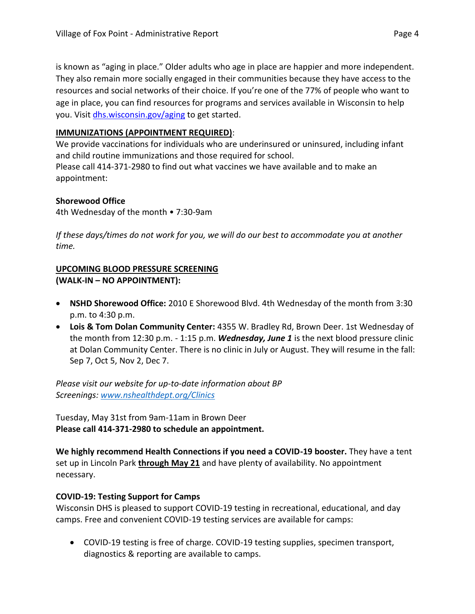is known as "aging in place." Older adults who age in place are happier and more independent. They also remain more socially engaged in their communities because they have access to the resources and social networks of their choice. If you're one of the 77% of people who want to age in place, you can find resources for programs and services available in Wisconsin to help you. Visit [dhs.wisconsin.gov/aging](https://www.dhs.wisconsin.gov/aging/index.htm?fbclid=IwAR0h6Rs30AisurUqVMkaoriUXw1H28TOQt0eDZC6iVtzrTnegkwhFFfQ_H0) to get started.

### **IMMUNIZATIONS (APPOINTMENT REQUIRED)**:

We provide vaccinations for individuals who are underinsured or uninsured, including infant and child routine immunizations and those required for school.

Please call 414-371-2980 to find out what vaccines we have available and to make an appointment:

### **Shorewood Office**

4th Wednesday of the month • 7:30-9am

*If these days/times do not work for you, we will do our best to accommodate you at another time.*

### **UPCOMING BLOOD PRESSURE SCREENING (WALK-IN – NO APPOINTMENT):**

- **NSHD Shorewood Office:**2010 E Shorewood Blvd. 4th Wednesday of the month from 3:30 p.m. to 4:30 p.m.
- **Lois & Tom Dolan Community Center:** 4355 W. Bradley Rd, Brown Deer. 1st Wednesday of the month from 12:30 p.m. - 1:15 p.m. *Wednesday, June 1* is the next blood pressure clinic at Dolan Community Center. There is no clinic in July or August. They will resume in the fall: Sep 7, Oct 5, Nov 2, Dec 7.

*Please visit our website for up-to-date information about BP Screenings: [www.nshealthdept.org/Clinics](https://www.nshealthdept.org/Clinics.aspx)*

Tuesday, May 31st from 9am-11am in Brown Deer **Please call 414-371-2980 to schedule an appointment.**

**We highly recommend Health Connections if you need a COVID-19 booster.** They have a tent set up in Lincoln Park **through May 21** and have plenty of availability. No appointment necessary.

# **COVID-19: Testing Support for Camps**

Wisconsin DHS is pleased to support COVID-19 testing in recreational, educational, and day camps. Free and convenient COVID-19 testing services are available for camps:

• COVID-19 testing is free of charge. COVID-19 testing supplies, specimen transport, diagnostics & reporting are available to camps.